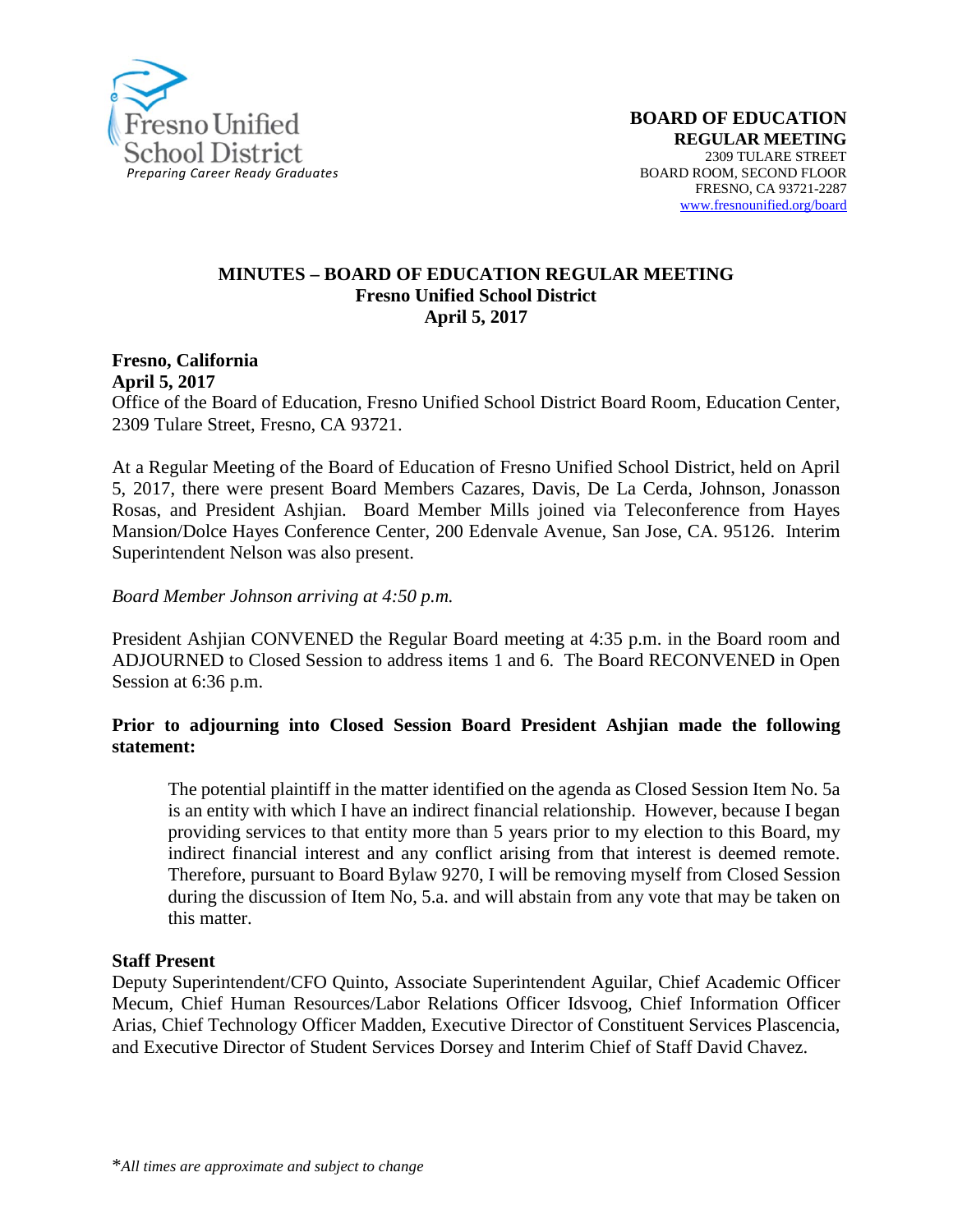

#### **MINUTES – BOARD OF EDUCATION REGULAR MEETING Fresno Unified School District April 5, 2017**

#### **Fresno, California April 5, 2017**

Office of the Board of Education, Fresno Unified School District Board Room, Education Center, 2309 Tulare Street, Fresno, CA 93721.

At a Regular Meeting of the Board of Education of Fresno Unified School District, held on April 5, 2017, there were present Board Members Cazares, Davis, De La Cerda, Johnson, Jonasson Rosas, and President Ashjian. Board Member Mills joined via Teleconference from Hayes Mansion/Dolce Hayes Conference Center, 200 Edenvale Avenue, San Jose, CA. 95126. Interim Superintendent Nelson was also present.

#### *Board Member Johnson arriving at 4:50 p.m.*

President Ashjian CONVENED the Regular Board meeting at 4:35 p.m. in the Board room and ADJOURNED to Closed Session to address items 1 and 6. The Board RECONVENED in Open Session at 6:36 p.m.

#### **Prior to adjourning into Closed Session Board President Ashjian made the following statement:**

The potential plaintiff in the matter identified on the agenda as Closed Session Item No. 5a is an entity with which I have an indirect financial relationship. However, because I began providing services to that entity more than 5 years prior to my election to this Board, my indirect financial interest and any conflict arising from that interest is deemed remote. Therefore, pursuant to Board Bylaw 9270, I will be removing myself from Closed Session during the discussion of Item No, 5.a. and will abstain from any vote that may be taken on this matter.

#### **Staff Present**

Deputy Superintendent/CFO Quinto, Associate Superintendent Aguilar, Chief Academic Officer Mecum, Chief Human Resources/Labor Relations Officer Idsvoog, Chief Information Officer Arias, Chief Technology Officer Madden, Executive Director of Constituent Services Plascencia, and Executive Director of Student Services Dorsey and Interim Chief of Staff David Chavez.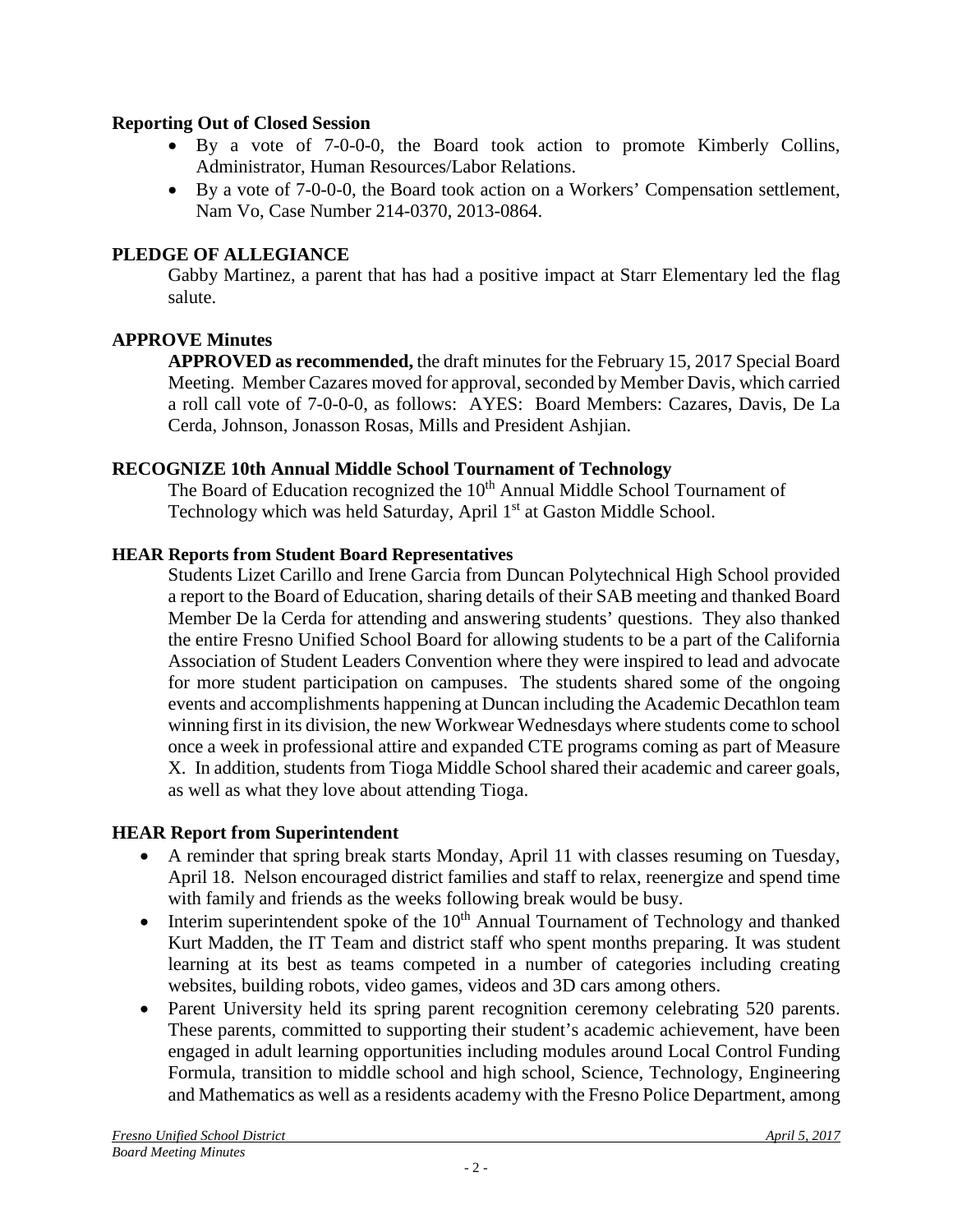### **Reporting Out of Closed Session**

- By a vote of 7-0-0-0, the Board took action to promote Kimberly Collins, Administrator, Human Resources/Labor Relations.
- By a vote of 7-0-0-0, the Board took action on a Workers' Compensation settlement, Nam Vo, Case Number 214-0370, 2013-0864.

### **PLEDGE OF ALLEGIANCE**

Gabby Martinez, a parent that has had a positive impact at Starr Elementary led the flag salute.

### **APPROVE Minutes**

**APPROVED as recommended,** the draft minutes for the February 15, 2017 Special Board Meeting. Member Cazares moved for approval, seconded by Member Davis, which carried a roll call vote of 7-0-0-0, as follows: AYES: Board Members: Cazares, Davis, De La Cerda, Johnson, Jonasson Rosas, Mills and President Ashjian.

### **RECOGNIZE 10th Annual Middle School Tournament of Technology**

The Board of Education recognized the  $10<sup>th</sup>$  Annual Middle School Tournament of Technology which was held Saturday, April 1<sup>st</sup> at Gaston Middle School.

### **HEAR Reports from Student Board Representatives**

Students Lizet Carillo and Irene Garcia from Duncan Polytechnical High School provided a report to the Board of Education, sharing details of their SAB meeting and thanked Board Member De la Cerda for attending and answering students' questions. They also thanked the entire Fresno Unified School Board for allowing students to be a part of the California Association of Student Leaders Convention where they were inspired to lead and advocate for more student participation on campuses. The students shared some of the ongoing events and accomplishments happening at Duncan including the Academic Decathlon team winning first in its division, the new Workwear Wednesdays where students come to school once a week in professional attire and expanded CTE programs coming as part of Measure X. In addition, students from Tioga Middle School shared their academic and career goals, as well as what they love about attending Tioga.

### **HEAR Report from Superintendent**

- A reminder that spring break starts Monday, April 11 with classes resuming on Tuesday, April 18. Nelson encouraged district families and staff to relax, reenergize and spend time with family and friends as the weeks following break would be busy.
- Interim superintendent spoke of the  $10<sup>th</sup>$  Annual Tournament of Technology and thanked Kurt Madden, the IT Team and district staff who spent months preparing. It was student learning at its best as teams competed in a number of categories including creating websites, building robots, video games, videos and 3D cars among others.
- Parent University held its spring parent recognition ceremony celebrating 520 parents. These parents, committed to supporting their student's academic achievement, have been engaged in adult learning opportunities including modules around Local Control Funding Formula, transition to middle school and high school, Science, Technology, Engineering and Mathematics as well as a residents academy with the Fresno Police Department, among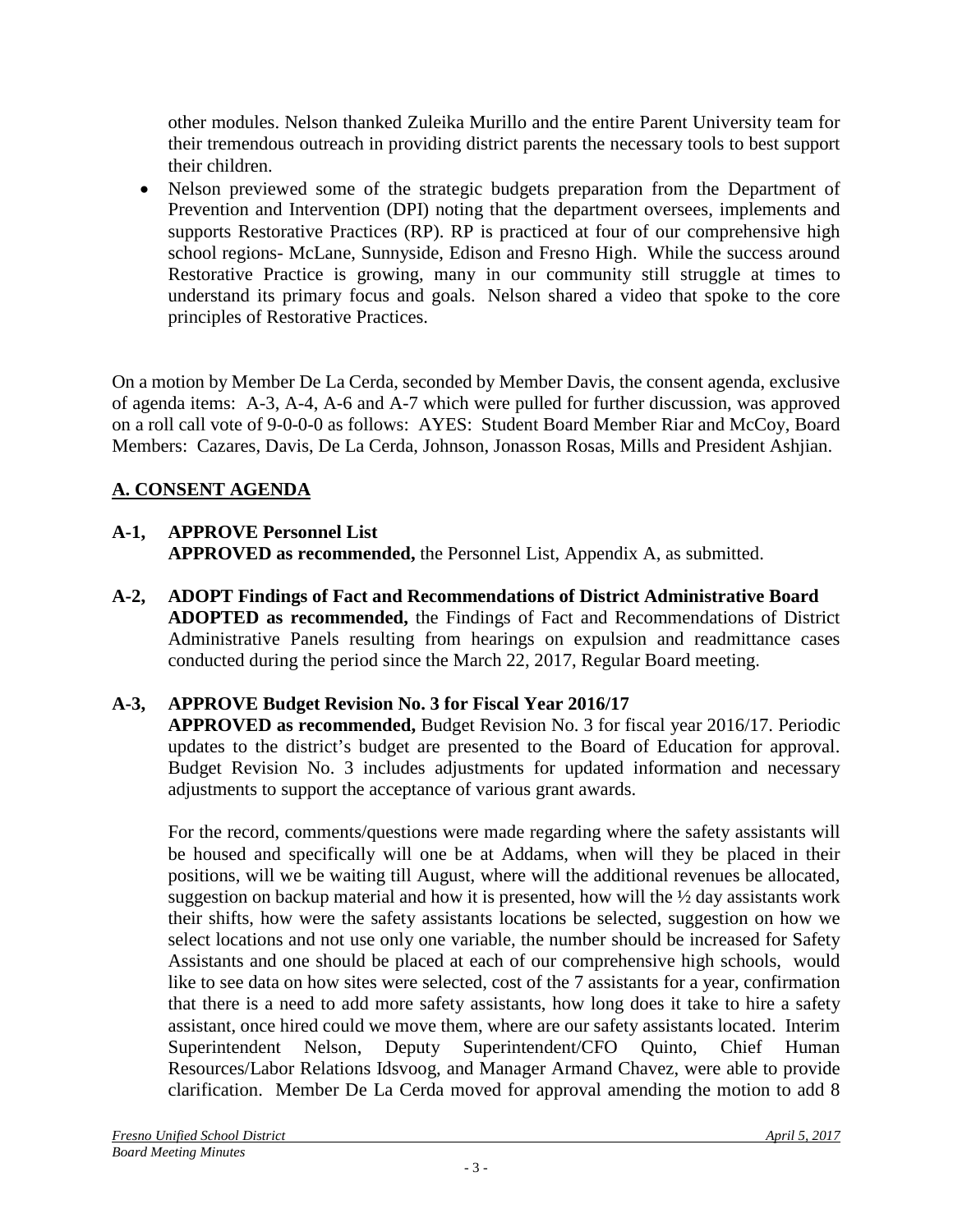other modules. Nelson thanked Zuleika Murillo and the entire Parent University team for their tremendous outreach in providing district parents the necessary tools to best support their children.

• Nelson previewed some of the strategic budgets preparation from the Department of Prevention and Intervention (DPI) noting that the department oversees, implements and supports Restorative Practices (RP). RP is practiced at four of our comprehensive high school regions- McLane, Sunnyside, Edison and Fresno High. While the success around Restorative Practice is growing, many in our community still struggle at times to understand its primary focus and goals. Nelson shared a [video](https://vimeo.com/209293641) that spoke to the core principles of Restorative Practices.

On a motion by Member De La Cerda, seconded by Member Davis, the consent agenda, exclusive of agenda items: A-3, A-4, A-6 and A-7 which were pulled for further discussion, was approved on a roll call vote of 9-0-0-0 as follows: AYES: Student Board Member Riar and McCoy, Board Members: Cazares, Davis, De La Cerda, Johnson, Jonasson Rosas, Mills and President Ashjian.

# **A. CONSENT AGENDA**

# **A-1, APPROVE Personnel List**

**APPROVED as recommended,** the Personnel List, Appendix A, as submitted.

**A-2, ADOPT Findings of Fact and Recommendations of District Administrative Board ADOPTED as recommended,** the Findings of Fact and Recommendations of District Administrative Panels resulting from hearings on expulsion and readmittance cases conducted during the period since the March 22, 2017, Regular Board meeting.

# **A-3, APPROVE Budget Revision No. 3 for Fiscal Year 2016/17**

**APPROVED as recommended,** Budget Revision No. 3 for fiscal year 2016/17. Periodic updates to the district's budget are presented to the Board of Education for approval. Budget Revision No. 3 includes adjustments for updated information and necessary adjustments to support the acceptance of various grant awards.

For the record, comments/questions were made regarding where the safety assistants will be housed and specifically will one be at Addams, when will they be placed in their positions, will we be waiting till August, where will the additional revenues be allocated, suggestion on backup material and how it is presented, how will the ½ day assistants work their shifts, how were the safety assistants locations be selected, suggestion on how we select locations and not use only one variable, the number should be increased for Safety Assistants and one should be placed at each of our comprehensive high schools, would like to see data on how sites were selected, cost of the 7 assistants for a year, confirmation that there is a need to add more safety assistants, how long does it take to hire a safety assistant, once hired could we move them, where are our safety assistants located. Interim Superintendent Nelson, Deputy Superintendent/CFO Quinto, Chief Human Resources/Labor Relations Idsvoog, and Manager Armand Chavez, were able to provide clarification. Member De La Cerda moved for approval amending the motion to add 8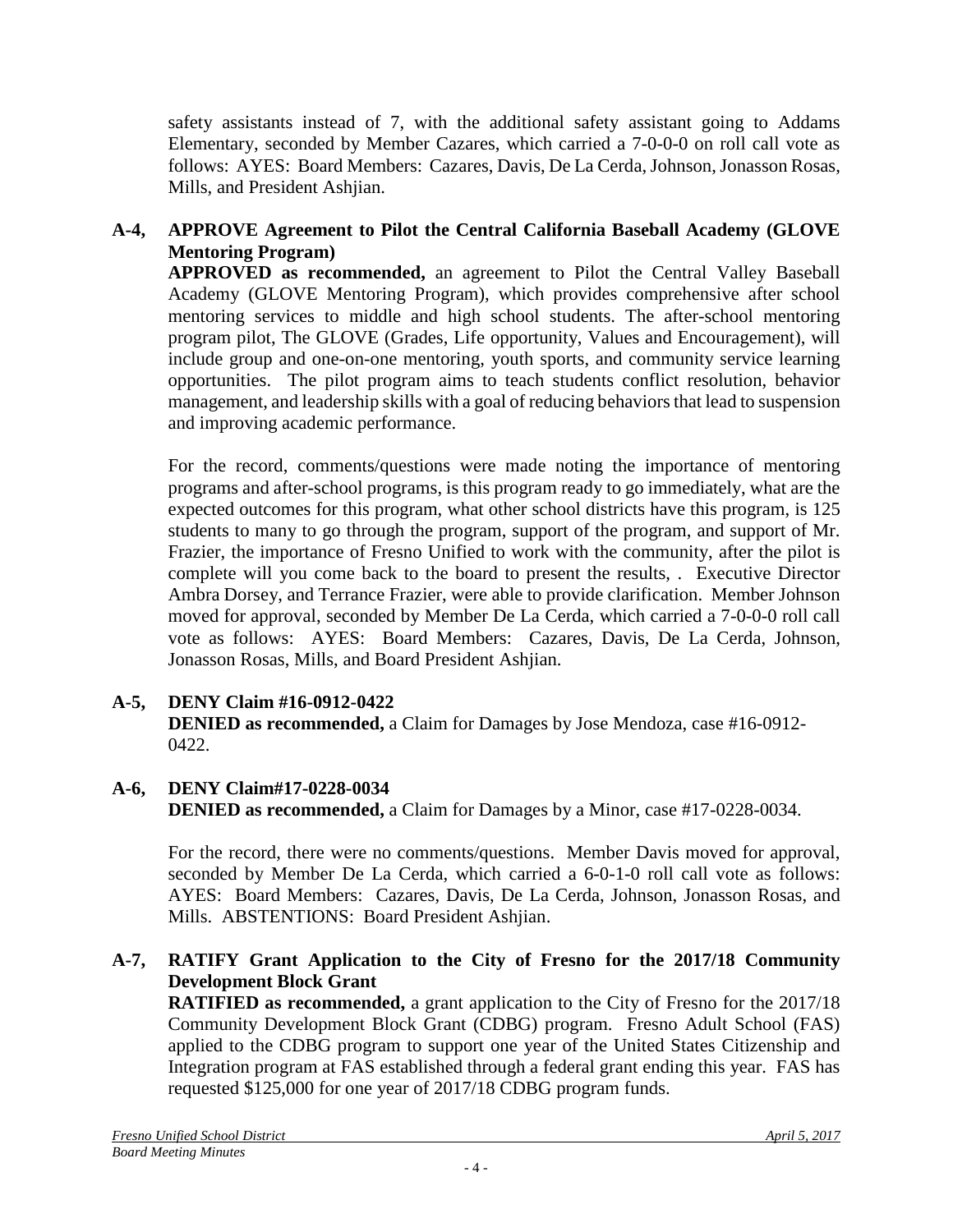safety assistants instead of 7, with the additional safety assistant going to Addams Elementary, seconded by Member Cazares, which carried a 7-0-0-0 on roll call vote as follows: AYES: Board Members: Cazares, Davis, De La Cerda, Johnson, Jonasson Rosas, Mills, and President Ashjian.

# **A-4, APPROVE Agreement to Pilot the Central California Baseball Academy (GLOVE Mentoring Program)**

**APPROVED as recommended,** an agreement to Pilot the Central Valley Baseball Academy (GLOVE Mentoring Program), which provides comprehensive after school mentoring services to middle and high school students. The after-school mentoring program pilot, The GLOVE (Grades, Life opportunity, Values and Encouragement), will include group and one-on-one mentoring, youth sports, and community service learning opportunities. The pilot program aims to teach students conflict resolution, behavior management, and leadership skills with a goal of reducing behaviors that lead to suspension and improving academic performance.

For the record, comments/questions were made noting the importance of mentoring programs and after-school programs, is this program ready to go immediately, what are the expected outcomes for this program, what other school districts have this program, is 125 students to many to go through the program, support of the program, and support of Mr. Frazier, the importance of Fresno Unified to work with the community, after the pilot is complete will you come back to the board to present the results, . Executive Director Ambra Dorsey, and Terrance Frazier, were able to provide clarification. Member Johnson moved for approval, seconded by Member De La Cerda, which carried a 7-0-0-0 roll call vote as follows: AYES: Board Members: Cazares, Davis, De La Cerda, Johnson, Jonasson Rosas, Mills, and Board President Ashjian.

# **A-5, DENY Claim #16-0912-0422**

**DENIED as recommended,** a Claim for Damages by Jose Mendoza, case #16-0912- 0422.

### **A-6, DENY Claim#17-0228-0034 DENIED as recommended,** a Claim for Damages by a Minor, case #17-0228-0034.

For the record, there were no comments/questions. Member Davis moved for approval, seconded by Member De La Cerda, which carried a 6-0-1-0 roll call vote as follows: AYES: Board Members: Cazares, Davis, De La Cerda, Johnson, Jonasson Rosas, and Mills. ABSTENTIONS: Board President Ashjian.

# **A-7, RATIFY Grant Application to the City of Fresno for the 2017/18 Community Development Block Grant**

**RATIFIED as recommended,** a grant application to the City of Fresno for the 2017/18 Community Development Block Grant (CDBG) program. Fresno Adult School (FAS) applied to the CDBG program to support one year of the United States Citizenship and Integration program at FAS established through a federal grant ending this year. FAS has requested \$125,000 for one year of 2017/18 CDBG program funds.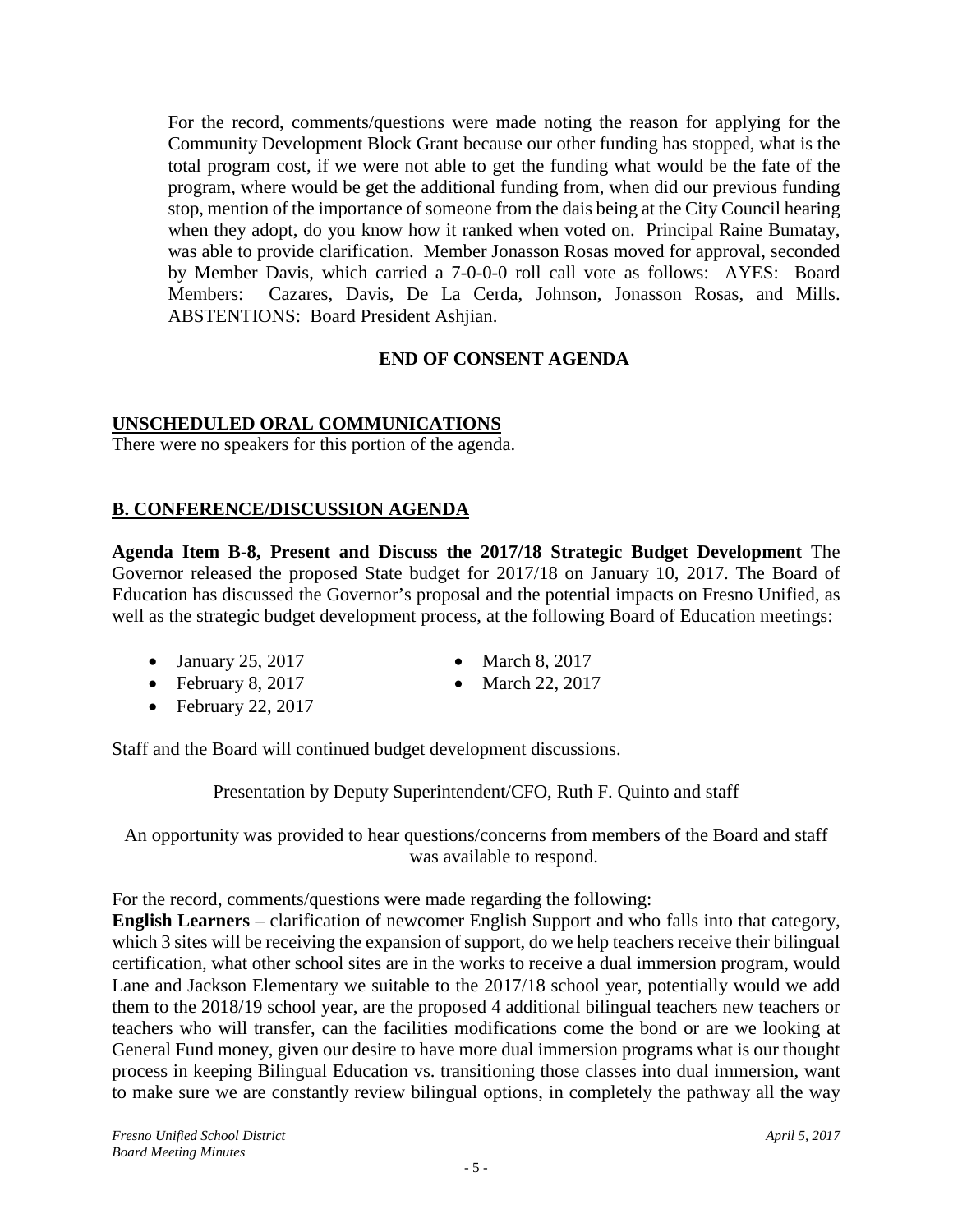For the record, comments/questions were made noting the reason for applying for the Community Development Block Grant because our other funding has stopped, what is the total program cost, if we were not able to get the funding what would be the fate of the program, where would be get the additional funding from, when did our previous funding stop, mention of the importance of someone from the dais being at the City Council hearing when they adopt, do you know how it ranked when voted on. Principal Raine Bumatay, was able to provide clarification. Member Jonasson Rosas moved for approval, seconded by Member Davis, which carried a 7-0-0-0 roll call vote as follows: AYES: Board Members: Cazares, Davis, De La Cerda, Johnson, Jonasson Rosas, and Mills. ABSTENTIONS: Board President Ashjian.

# **END OF CONSENT AGENDA**

### **UNSCHEDULED ORAL COMMUNICATIONS**

There were no speakers for this portion of the agenda.

# **B. CONFERENCE/DISCUSSION AGENDA**

**Agenda Item B-8, Present and Discuss the 2017/18 Strategic Budget Development** The Governor released the proposed State budget for 2017/18 on January 10, 2017. The Board of Education has discussed the Governor's proposal and the potential impacts on Fresno Unified, as well as the strategic budget development process, at the following Board of Education meetings:

- January 25, 2017 March 8, 2017
	-
- February 8, 2017 March 22, 2017
- February 22, 2017

Staff and the Board will continued budget development discussions.

Presentation by Deputy Superintendent/CFO, Ruth F. Quinto and staff

An opportunity was provided to hear questions/concerns from members of the Board and staff was available to respond.

For the record, comments/questions were made regarding the following:

**English Learners** – clarification of newcomer English Support and who falls into that category, which 3 sites will be receiving the expansion of support, do we help teachers receive their bilingual certification, what other school sites are in the works to receive a dual immersion program, would Lane and Jackson Elementary we suitable to the 2017/18 school year, potentially would we add them to the 2018/19 school year, are the proposed 4 additional bilingual teachers new teachers or teachers who will transfer, can the facilities modifications come the bond or are we looking at General Fund money, given our desire to have more dual immersion programs what is our thought process in keeping Bilingual Education vs. transitioning those classes into dual immersion, want to make sure we are constantly review bilingual options, in completely the pathway all the way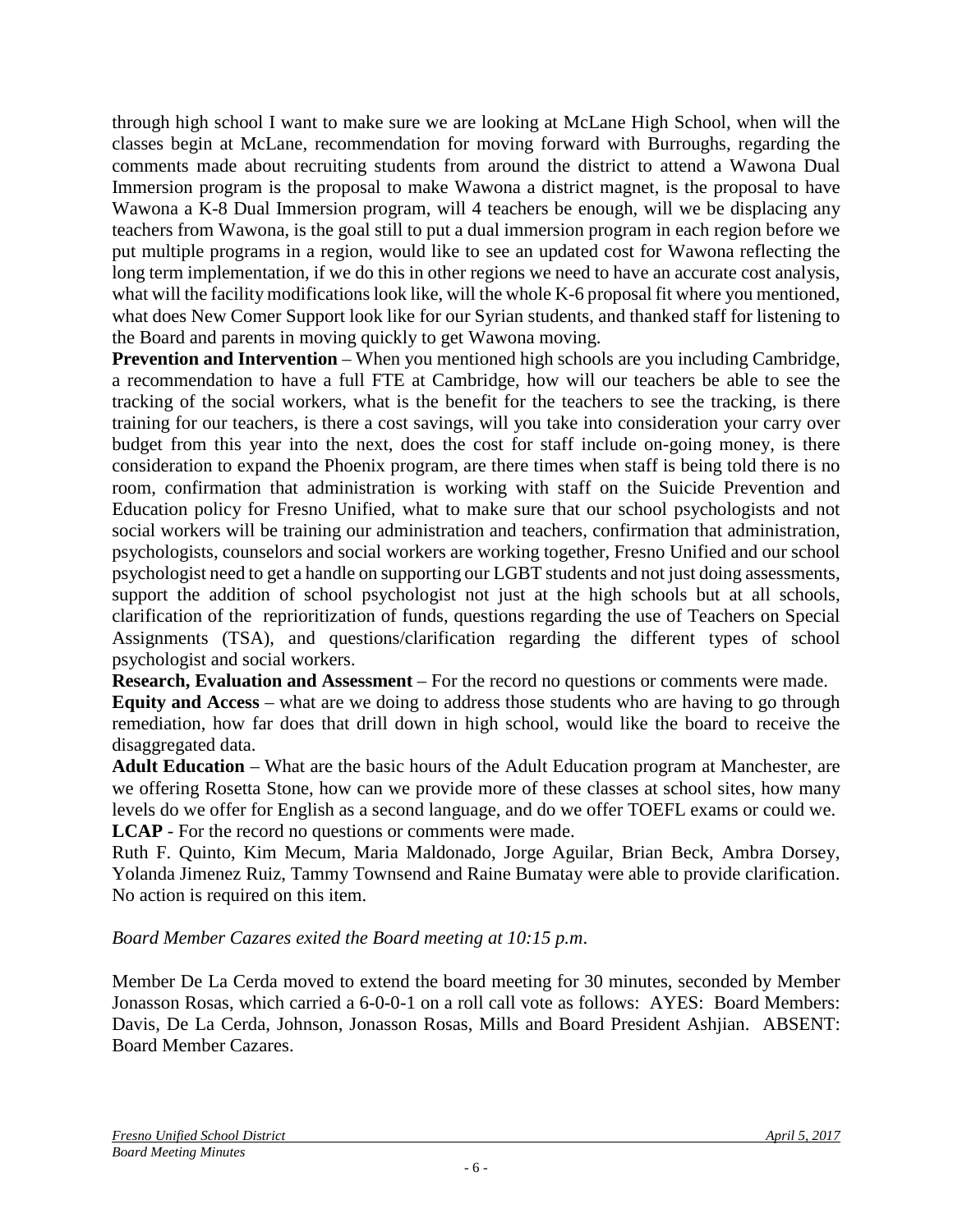through high school I want to make sure we are looking at McLane High School, when will the classes begin at McLane, recommendation for moving forward with Burroughs, regarding the comments made about recruiting students from around the district to attend a Wawona Dual Immersion program is the proposal to make Wawona a district magnet, is the proposal to have Wawona a K-8 Dual Immersion program, will 4 teachers be enough, will we be displacing any teachers from Wawona, is the goal still to put a dual immersion program in each region before we put multiple programs in a region, would like to see an updated cost for Wawona reflecting the long term implementation, if we do this in other regions we need to have an accurate cost analysis, what will the facility modifications look like, will the whole K-6 proposal fit where you mentioned, what does New Comer Support look like for our Syrian students, and thanked staff for listening to the Board and parents in moving quickly to get Wawona moving.

**Prevention and Intervention** – When you mentioned high schools are you including Cambridge, a recommendation to have a full FTE at Cambridge, how will our teachers be able to see the tracking of the social workers, what is the benefit for the teachers to see the tracking, is there training for our teachers, is there a cost savings, will you take into consideration your carry over budget from this year into the next, does the cost for staff include on-going money, is there consideration to expand the Phoenix program, are there times when staff is being told there is no room, confirmation that administration is working with staff on the Suicide Prevention and Education policy for Fresno Unified, what to make sure that our school psychologists and not social workers will be training our administration and teachers, confirmation that administration, psychologists, counselors and social workers are working together, Fresno Unified and our school psychologist need to get a handle on supporting our LGBT students and not just doing assessments, support the addition of school psychologist not just at the high schools but at all schools, clarification of the reprioritization of funds, questions regarding the use of Teachers on Special Assignments (TSA), and questions/clarification regarding the different types of school psychologist and social workers.

**Research, Evaluation and Assessment** – For the record no questions or comments were made.

**Equity and Access** – what are we doing to address those students who are having to go through remediation, how far does that drill down in high school, would like the board to receive the disaggregated data.

**Adult Education** – What are the basic hours of the Adult Education program at Manchester, are we offering Rosetta Stone, how can we provide more of these classes at school sites, how many levels do we offer for English as a second language, and do we offer TOEFL exams or could we. **LCAP** - For the record no questions or comments were made.

Ruth F. Quinto, Kim Mecum, Maria Maldonado, Jorge Aguilar, Brian Beck, Ambra Dorsey, Yolanda Jimenez Ruiz, Tammy Townsend and Raine Bumatay were able to provide clarification. No action is required on this item.

### *Board Member Cazares exited the Board meeting at 10:15 p.m*.

Member De La Cerda moved to extend the board meeting for 30 minutes, seconded by Member Jonasson Rosas, which carried a 6-0-0-1 on a roll call vote as follows: AYES: Board Members: Davis, De La Cerda, Johnson, Jonasson Rosas, Mills and Board President Ashjian. ABSENT: Board Member Cazares.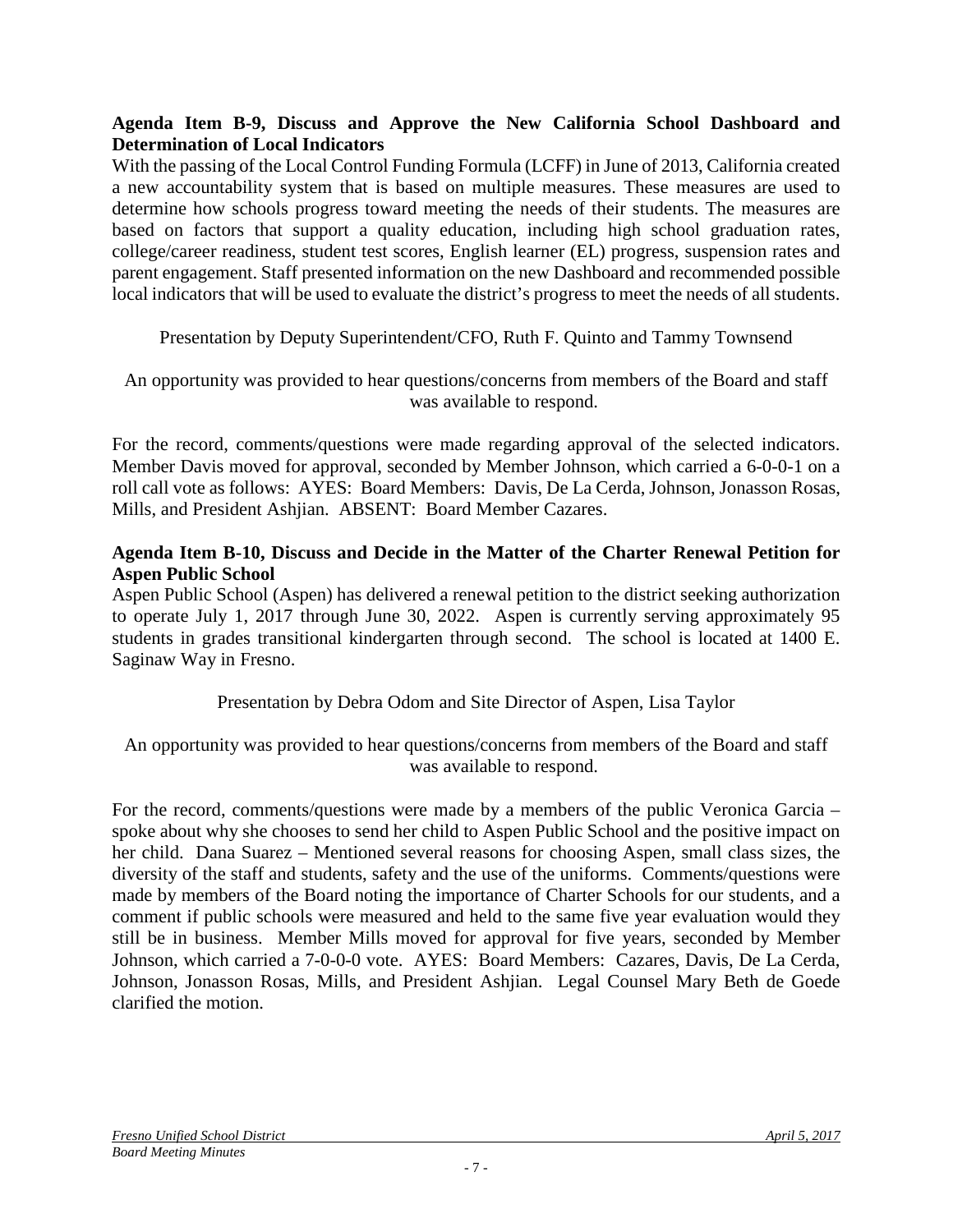### **Agenda Item B-9, Discuss and Approve the New California School Dashboard and Determination of Local Indicators**

With the passing of the Local Control Funding Formula (LCFF) in June of 2013, California created a new accountability system that is based on multiple measures. These measures are used to determine how schools progress toward meeting the needs of their students. The measures are based on factors that support a quality education, including high school graduation rates, college/career readiness, student test scores, English learner (EL) progress, suspension rates and parent engagement. Staff presented information on the new Dashboard and recommended possible local indicators that will be used to evaluate the district's progress to meet the needs of all students.

Presentation by Deputy Superintendent/CFO, Ruth F. Quinto and Tammy Townsend

An opportunity was provided to hear questions/concerns from members of the Board and staff was available to respond.

For the record, comments/questions were made regarding approval of the selected indicators. Member Davis moved for approval, seconded by Member Johnson, which carried a 6-0-0-1 on a roll call vote as follows: AYES: Board Members: Davis, De La Cerda, Johnson, Jonasson Rosas, Mills, and President Ashjian. ABSENT: Board Member Cazares.

### **Agenda Item B-10, Discuss and Decide in the Matter of the Charter Renewal Petition for Aspen Public School**

Aspen Public School (Aspen) has delivered a renewal petition to the district seeking authorization to operate July 1, 2017 through June 30, 2022. Aspen is currently serving approximately 95 students in grades transitional kindergarten through second. The school is located at 1400 E. Saginaw Way in Fresno.

Presentation by Debra Odom and Site Director of Aspen, Lisa Taylor

An opportunity was provided to hear questions/concerns from members of the Board and staff was available to respond.

For the record, comments/questions were made by a members of the public Veronica Garcia – spoke about why she chooses to send her child to Aspen Public School and the positive impact on her child. Dana Suarez – Mentioned several reasons for choosing Aspen, small class sizes, the diversity of the staff and students, safety and the use of the uniforms. Comments/questions were made by members of the Board noting the importance of Charter Schools for our students, and a comment if public schools were measured and held to the same five year evaluation would they still be in business. Member Mills moved for approval for five years, seconded by Member Johnson, which carried a 7-0-0-0 vote. AYES: Board Members: Cazares, Davis, De La Cerda, Johnson, Jonasson Rosas, Mills, and President Ashjian. Legal Counsel Mary Beth de Goede clarified the motion.